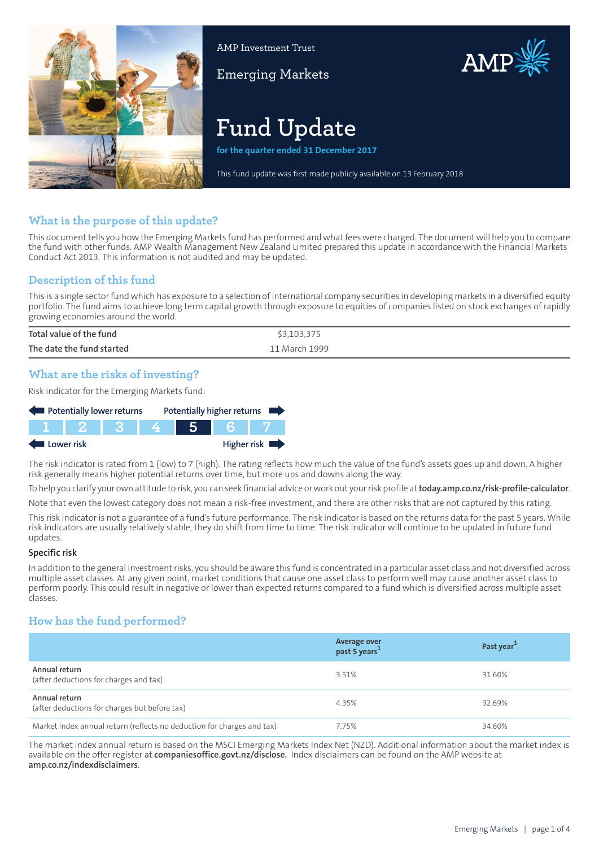

AMP Investment Trust

Emerging Markets



# **Fund Update**

**for the quarter ended 31 December 2017**

This fund update was first made publicly available on 13 February 2018

## **What is the purpose of this update?**

This document tells you how the Emerging Markets fund has performed and what fees were charged. The document will help you to compare the fund with other funds. AMP Wealth Management New Zealand Limited prepared this update in accordance with the Financial Markets Conduct Act 2013. This information is not audited and may be updated.

## **Description of this fund**

This is a single sectorfund which has exposure to a selection of international company securities in developing markets in a diversified equity portfolio. The fund aims to achieve long term capital growth through exposure to equities of companies listed on stock exchanges of rapidly growing economies around the world.

| Total value of the fund   | \$3,103,375   |
|---------------------------|---------------|
| The date the fund started | 11 March 1999 |

## **What are the risks of investing?**

Risk indicator for the Emerging Markets fund:



The risk indicator is rated from 1 (low) to 7 (high). The rating reflects how much the value of the fund's assets goes up and down. A higher risk generally means higher potential returns over time, but more ups and downs along the way.

To help you clarify your own attitude to risk, you can seek financial advice orwork out yourrisk profile at**[today.amp.co.nz/risk-profile-calculator](http://today.amp.co.nz/risk-profile-calculator)**.

Note that even the lowest category does not mean a risk-free investment, and there are other risks that are not captured by this rating.

This risk indicator is not a guarantee of a fund's future performance. The risk indicator is based on the returns data for the past 5 years. While risk indicators are usually relatively stable, they do shift from time to time. The risk indicator will continue to be updated in future fund updates.

#### **Specific risk**

In addition to the general investmentrisks, you should be aware this fund is concentrated in a particular asset class and not diversified across multiple asset classes. At any given point, market conditions that cause one asset class to perform well may cause another asset class to perform poorly. This could result in negative or lower than expected returns compared to a fund which is diversified across multiple asset classes.

## **How has the fund performed?**

|                                                                        | Average over<br>past 5 years <sup>1</sup> | Past year <sup>1</sup> |
|------------------------------------------------------------------------|-------------------------------------------|------------------------|
| Annual return<br>(after deductions for charges and tax)                | 3.51%                                     | 31.60%                 |
| Annual return<br>(after deductions for charges but before tax)         | 4.35%                                     | 32.69%                 |
| Market index annual return (reflects no deduction for charges and tax) | 7.75%                                     | 34.60%                 |

The market index annual return is based on the MSCI Emerging Markets Index Net (NZD). Additional information about the market index is available on the offer register at **[companiesoffice.govt.nz/disclose](http://companiesoffice.govt.nz/disclose).** Index disclaimers can be found on the AMP website at **[amp.co.nz/indexdisclaimers](http://amp.co.nz/indexdisclaimers)**.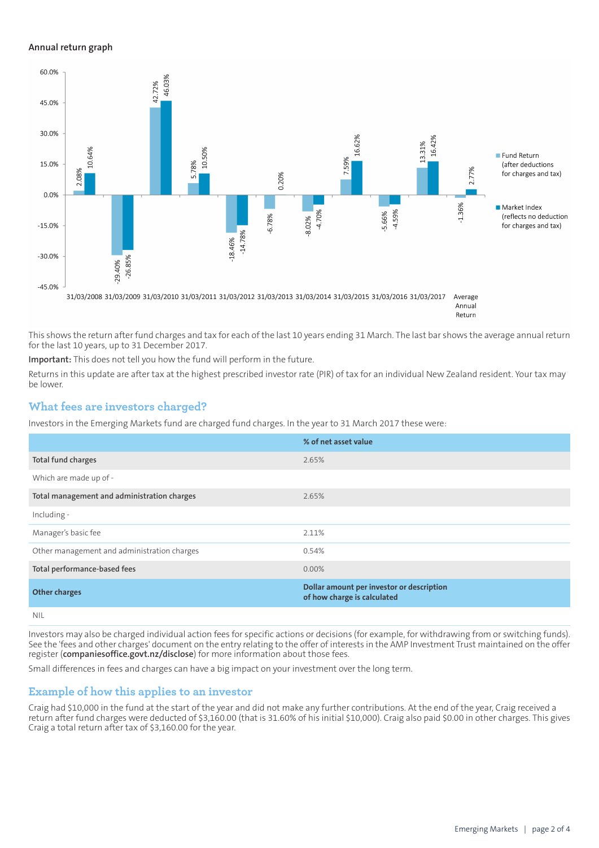#### **Annual return graph**



Return

This shows the return after fund charges and tax for each of the last 10 years ending 31 March. The last bar shows the average annual return for the last 10 years, up to 31 December 2017.

**Important:** This does not tell you how the fund will perform in the future.

Returns in this update are after tax at the highest prescribed investor rate (PIR) of tax for an individual New Zealand resident. Your tax may be lower.

#### **What fees are investors charged?**

Investors in the Emerging Markets fund are charged fund charges. In the year to 31 March 2017 these were:

|                                             | % of net asset value                                                     |
|---------------------------------------------|--------------------------------------------------------------------------|
| Total fund charges                          | 2.65%                                                                    |
| Which are made up of -                      |                                                                          |
| Total management and administration charges | 2.65%                                                                    |
| Including -                                 |                                                                          |
| Manager's basic fee                         | 2.11%                                                                    |
| Other management and administration charges | 0.54%                                                                    |
| Total performance-based fees                | $0.00\%$                                                                 |
| <b>Other charges</b>                        | Dollar amount per investor or description<br>of how charge is calculated |
| <b>NIL</b>                                  |                                                                          |

Investors may also be charged individual action fees for specific actions or decisions (for example, for withdrawing from or switching funds). See the 'fees and other charges' document on the entry relating to the offer of interests in the AMP Investment Trust maintained on the offer register (**[companiesoffice.govt.nz/disclose](http://companiesoffice.govt.nz/disclose)**) for more information about those fees.

Small differences in fees and charges can have a big impact on your investment over the long term.

#### **Example of how this applies to an investor**

Craig had \$10,000 in the fund at the start of the year and did not make any further contributions. At the end of the year, Craig received a return after fund charges were deducted of \$3,160.00 (that is 31.60% of his initial \$10,000). Craig also paid \$0.00 in other charges. This gives Craig a total return after tax of \$3,160.00 for the year.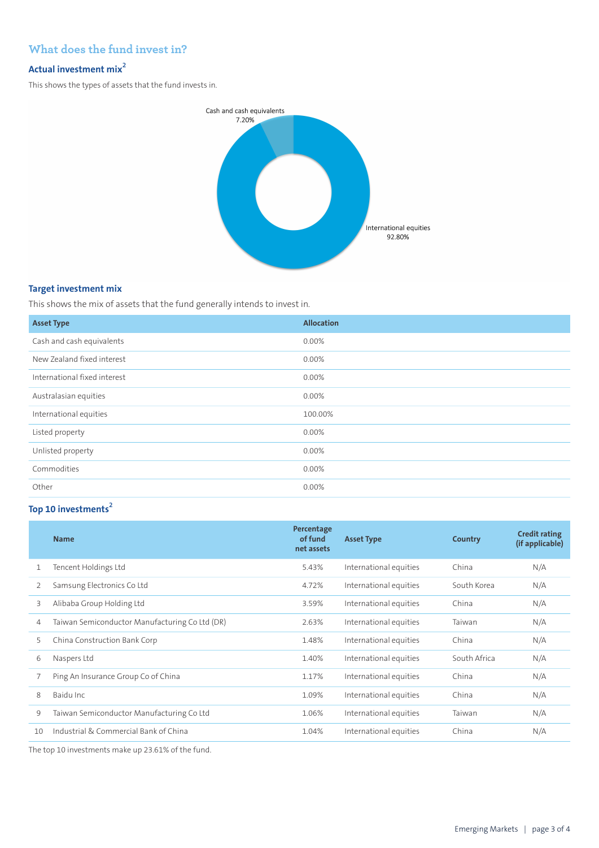## **What does the fund invest in?**

#### **Actual investment mix<sup>2</sup>**

This shows the types of assets that the fund invests in.



#### **Target investment mix**

This shows the mix of assets that the fund generally intends to invest in.

| <b>Asset Type</b>            | <b>Allocation</b> |
|------------------------------|-------------------|
| Cash and cash equivalents    | 0.00%             |
| New Zealand fixed interest   | $0.00\%$          |
| International fixed interest | 0.00%             |
| Australasian equities        | 0.00%             |
| International equities       | 100.00%           |
| Listed property              | $0.00\%$          |
| Unlisted property            | 0.00%             |
| Commodities                  | 0.00%             |
| Other                        | 0.00%             |

## **Top 10 investments<sup>2</sup>**

|    | <b>Name</b>                                    | Percentage<br>of fund<br>net assets | <b>Asset Type</b>      | Country      | <b>Credit rating</b><br>(if applicable) |
|----|------------------------------------------------|-------------------------------------|------------------------|--------------|-----------------------------------------|
| 1  | Tencent Holdings Ltd                           | 5.43%                               | International equities | China        | N/A                                     |
| 2  | Samsung Electronics Co Ltd                     | 4.72%                               | International equities | South Korea  | N/A                                     |
| 3  | Alibaba Group Holding Ltd                      | 3.59%                               | International equities | China        | N/A                                     |
| 4  | Taiwan Semiconductor Manufacturing Co Ltd (DR) | 2.63%                               | International equities | Taiwan       | N/A                                     |
| 5  | China Construction Bank Corp                   | 1.48%                               | International equities | China        | N/A                                     |
| 6  | Naspers Ltd                                    | 1.40%                               | International equities | South Africa | N/A                                     |
|    | Ping An Insurance Group Co of China            | 1.17%                               | International equities | China        | N/A                                     |
| 8  | Baidu Inc.                                     | 1.09%                               | International equities | China        | N/A                                     |
| 9  | Taiwan Semiconductor Manufacturing Co Ltd      | 1.06%                               | International equities | Taiwan       | N/A                                     |
| 10 | Industrial & Commercial Bank of China          | 1.04%                               | International equities | China        | N/A                                     |

The top 10 investments make up 23.61% of the fund.